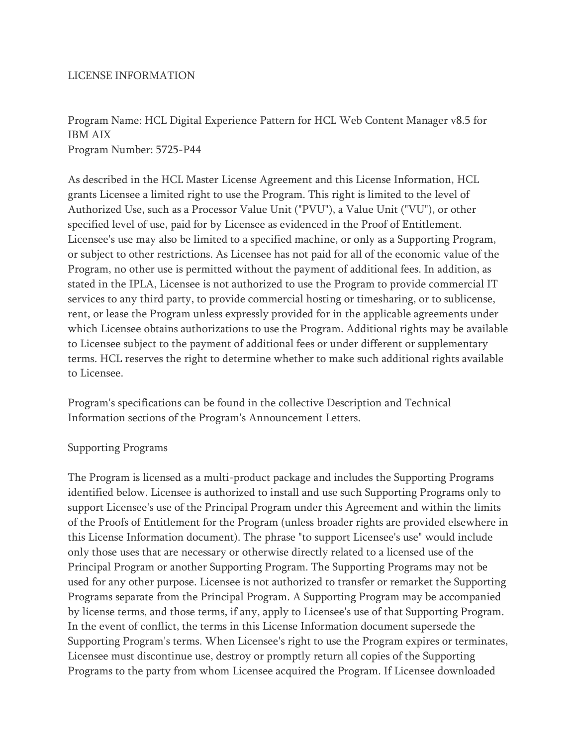## LICENSE INFORMATION

## Program Name: HCL Digital Experience Pattern for HCL Web Content Manager v8.5 for IBM AIX Program Number: 5725-P44

As described in the HCL Master License Agreement and this License Information, HCL grants Licensee a limited right to use the Program. This right is limited to the level of Authorized Use, such as a Processor Value Unit ("PVU"), a Value Unit ("VU"), or other specified level of use, paid for by Licensee as evidenced in the Proof of Entitlement. Licensee's use may also be limited to a specified machine, or only as a Supporting Program, or subject to other restrictions. As Licensee has not paid for all of the economic value of the Program, no other use is permitted without the payment of additional fees. In addition, as stated in the IPLA, Licensee is not authorized to use the Program to provide commercial IT services to any third party, to provide commercial hosting or timesharing, or to sublicense, rent, or lease the Program unless expressly provided for in the applicable agreements under which Licensee obtains authorizations to use the Program. Additional rights may be available to Licensee subject to the payment of additional fees or under different or supplementary terms. HCL reserves the right to determine whether to make such additional rights available to Licensee.

Program's specifications can be found in the collective Description and Technical Information sections of the Program's Announcement Letters.

## Supporting Programs

The Program is licensed as a multi-product package and includes the Supporting Programs identified below. Licensee is authorized to install and use such Supporting Programs only to support Licensee's use of the Principal Program under this Agreement and within the limits of the Proofs of Entitlement for the Program (unless broader rights are provided elsewhere in this License Information document). The phrase "to support Licensee's use" would include only those uses that are necessary or otherwise directly related to a licensed use of the Principal Program or another Supporting Program. The Supporting Programs may not be used for any other purpose. Licensee is not authorized to transfer or remarket the Supporting Programs separate from the Principal Program. A Supporting Program may be accompanied by license terms, and those terms, if any, apply to Licensee's use of that Supporting Program. In the event of conflict, the terms in this License Information document supersede the Supporting Program's terms. When Licensee's right to use the Program expires or terminates, Licensee must discontinue use, destroy or promptly return all copies of the Supporting Programs to the party from whom Licensee acquired the Program. If Licensee downloaded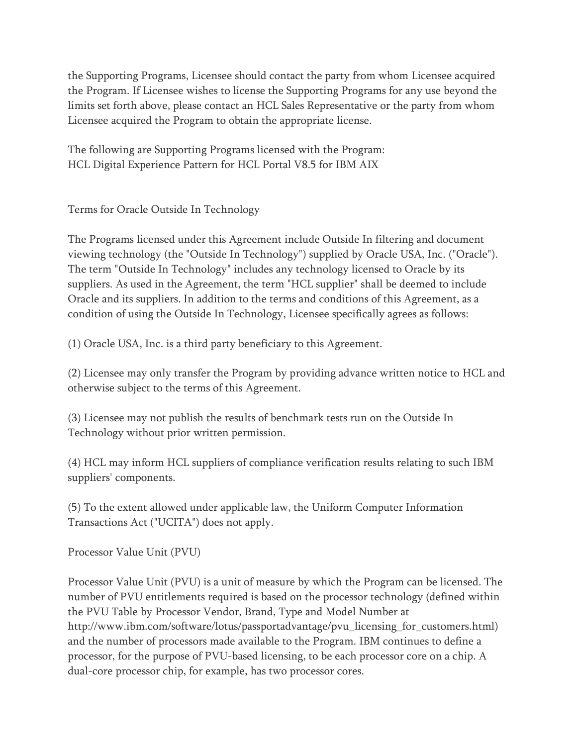the Supporting Programs, Licensee should contact the party from whom Licensee acquired the Program. If Licensee wishes to license the Supporting Programs for any use beyond the limits set forth above, please contact an HCL Sales Representative or the party from whom Licensee acquired the Program to obtain the appropriate license.

The following are Supporting Programs licensed with the Program: HCL Digital Experience Pattern for HCL Portal V8.5 for IBM AIX

Terms for Oracle Outside In Technology

The Programs licensed under this Agreement include Outside In filtering and document viewing technology (the "Outside In Technology") supplied by Oracle USA, Inc. ("Oracle"). The term "Outside In Technology" includes any technology licensed to Oracle by its suppliers. As used in the Agreement, the term "HCL supplier" shall be deemed to include Oracle and its suppliers. In addition to the terms and conditions of this Agreement, as a condition of using the Outside In Technology, Licensee specifically agrees as follows:

(1) Oracle USA, Inc. is a third party beneficiary to this Agreement.

(2) Licensee may only transfer the Program by providing advance written notice to HCL and otherwise subject to the terms of this Agreement.

(3) Licensee may not publish the results of benchmark tests run on the Outside In Technology without prior written permission.

(4) HCL may inform HCL suppliers of compliance verification results relating to such IBM suppliers' components.

(5) To the extent allowed under applicable law, the Uniform Computer Information Transactions Act ("UCITA") does not apply.

Processor Value Unit (PVU)

Processor Value Unit (PVU) is a unit of measure by which the Program can be licensed. The number of PVU entitlements required is based on the processor technology (defined within the PVU Table by Processor Vendor, Brand, Type and Model Number at http://www.ibm.com/software/lotus/passportadvantage/pvu\_licensing\_for\_customers.html) and the number of processors made available to the Program. IBM continues to define a processor, for the purpose of PVU-based licensing, to be each processor core on a chip. A dual-core processor chip, for example, has two processor cores.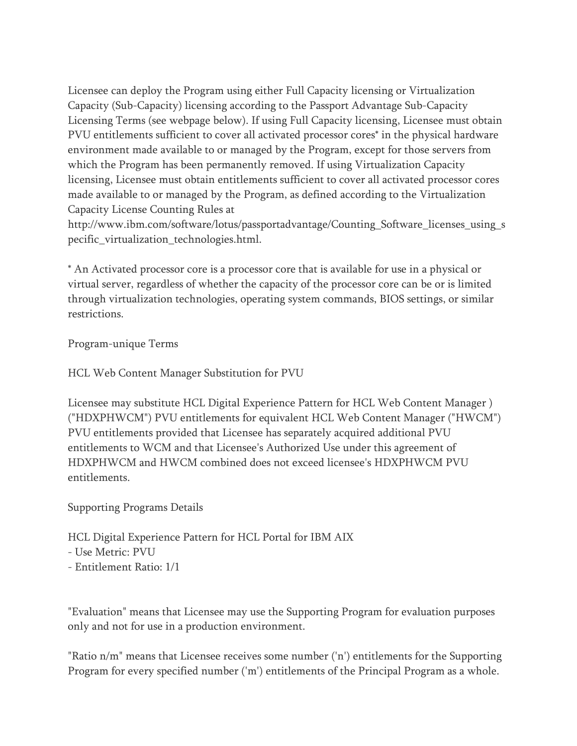Licensee can deploy the Program using either Full Capacity licensing or Virtualization Capacity (Sub-Capacity) licensing according to the Passport Advantage Sub-Capacity Licensing Terms (see webpage below). If using Full Capacity licensing, Licensee must obtain PVU entitlements sufficient to cover all activated processor cores\* in the physical hardware environment made available to or managed by the Program, except for those servers from which the Program has been permanently removed. If using Virtualization Capacity licensing, Licensee must obtain entitlements sufficient to cover all activated processor cores made available to or managed by the Program, as defined according to the Virtualization Capacity License Counting Rules at

http://www.ibm.com/software/lotus/passportadvantage/Counting\_Software\_licenses\_using\_s pecific\_virtualization\_technologies.html.

\* An Activated processor core is a processor core that is available for use in a physical or virtual server, regardless of whether the capacity of the processor core can be or is limited through virtualization technologies, operating system commands, BIOS settings, or similar restrictions.

Program-unique Terms

HCL Web Content Manager Substitution for PVU

Licensee may substitute HCL Digital Experience Pattern for HCL Web Content Manager ) ("HDXPHWCM") PVU entitlements for equivalent HCL Web Content Manager ("HWCM") PVU entitlements provided that Licensee has separately acquired additional PVU entitlements to WCM and that Licensee's Authorized Use under this agreement of HDXPHWCM and HWCM combined does not exceed licensee's HDXPHWCM PVU entitlements.

Supporting Programs Details

HCL Digital Experience Pattern for HCL Portal for IBM AIX

- Use Metric: PVU

- Entitlement Ratio: 1/1

"Evaluation" means that Licensee may use the Supporting Program for evaluation purposes only and not for use in a production environment.

"Ratio n/m" means that Licensee receives some number ('n') entitlements for the Supporting Program for every specified number ('m') entitlements of the Principal Program as a whole.